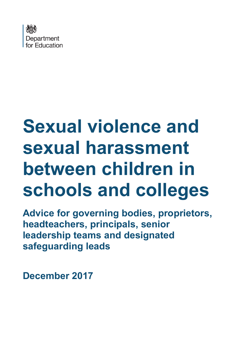

# **Sexual violence and sexual harassment between children in schools and colleges**

**Advice for governing bodies, proprietors, headteachers, principals, senior leadership teams and designated safeguarding leads**

**December 2017**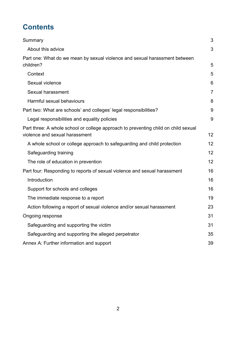# **Contents**

| Summary                                                                                                              | 3              |
|----------------------------------------------------------------------------------------------------------------------|----------------|
| About this advice                                                                                                    | 3              |
| Part one: What do we mean by sexual violence and sexual harassment between<br>children?                              | 5              |
| Context                                                                                                              | 5              |
| Sexual violence                                                                                                      | 6              |
| Sexual harassment                                                                                                    | $\overline{7}$ |
| Harmful sexual behaviours                                                                                            | 8              |
| Part two: What are schools' and colleges' legal responsibilities?                                                    | 9              |
| Legal responsibilities and equality policies                                                                         | 9              |
| Part three: A whole school or college approach to preventing child on child sexual<br>violence and sexual harassment | 12             |
| A whole school or college approach to safeguarding and child protection                                              | 12             |
| Safeguarding training                                                                                                | 12             |
| The role of education in prevention                                                                                  | 12             |
| Part four: Responding to reports of sexual violence and sexual harassment                                            | 16             |
| Introduction                                                                                                         | 16             |
| Support for schools and colleges                                                                                     | 16             |
| The immediate response to a report                                                                                   | 19             |
| Action following a report of sexual violence and/or sexual harassment                                                | 23             |
| Ongoing response                                                                                                     | 31             |
| Safeguarding and supporting the victim                                                                               | 31             |
| Safeguarding and supporting the alleged perpetrator                                                                  | 35             |
| Annex A: Further information and support                                                                             | 39             |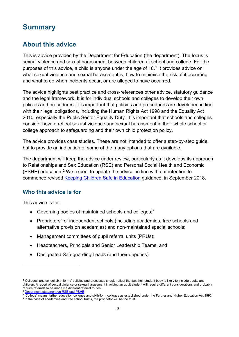## <span id="page-2-0"></span>**Summary**

## <span id="page-2-1"></span>**About this advice**

This is advice provided by the Department for Education (the department). The focus is sexual violence and sexual harassment between children at school and college. For the purposes of this advice, a child is anyone under the age of  $18<sup>1</sup>$  $18<sup>1</sup>$  It provides advice on what sexual violence and sexual harassment is, how to minimise the risk of it occurring and what to do when incidents occur, or are alleged to have occurred.

The advice highlights best practice and cross-references other advice, statutory guidance and the legal framework. It is for individual schools and colleges to develop their own policies and procedures. It is important that policies and procedures are developed in line with their legal obligations, including the Human Rights Act 1998 and the Equality Act 2010, especially the Public Sector Equality Duty. It is important that schools and colleges consider how to reflect sexual violence and sexual harassment in their whole school or college approach to safeguarding and their own child protection policy.

The advice provides case studies. These are not intended to offer a step-by-step guide, but to provide an indication of some of the many options that are available.

The department will keep the advice under review, particularly as it develops its approach to Relationships and Sex Education (RSE) and Personal Social Health and Economic (PSHE) education.[2](#page-2-3) We expect to update the advice, in line with our intention to commence revised [Keeping Children Safe in Education](https://www.gov.uk/government/publications/keeping-children-safe-in-education--2) guidance, in September 2018.

#### **Who this advice is for**

This advice is for:

 $\overline{a}$ 

- $\bullet$  Governing bodies of maintained schools and colleges;<sup>[3](#page-2-4)</sup>
- Proprietors<sup>[4](#page-2-5)</sup> of independent schools (including academies, free schools and alternative provision academies) and non-maintained special schools;
- Management committees of pupil referral units (PRUs);
- Headteachers, Principals and Senior Leadership Teams; and
- Designated Safeguarding Leads (and their deputies).

<span id="page-2-2"></span> $1$  Colleges' and school sixth forms' policies and processes should reflect the fact their student body is likely to include adults and children. A report of sexual violence or sexual harassment involving an adult student will require different considerations and probably require referrals to be made via different referral routes. <sup>2</sup> [Department statement on RSE and PSHE](https://www.gov.uk/government/publications/relationships-education-rse-and-pshe)

<span id="page-2-5"></span><span id="page-2-4"></span><span id="page-2-3"></span> $3$   $\overline{1}$  College' means further education colleges and sixth-form colleges as established under the Further and Higher Education Act 1992.<br><sup>4</sup> In the case of academies and free school trusts, the proprietor will be th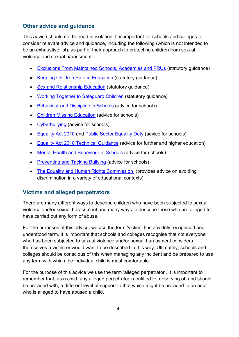## **Other advice and guidance**

This advice should not be read in isolation. It is important for schools and colleges to consider relevant advice and guidance, including the following (which is not intended to be an exhaustive list), as part of their approach to protecting children from sexual violence and sexual harassment:

- [Exclusions From Maintained Schools, Academies and PRUs](https://www.gov.uk/government/publications/school-exclusion) (statutory guidance)
- [Keeping Children Safe in Education](https://www.gov.uk/government/publications/keeping-children-safe-in-education--2) (statutory guidance)
- [Sex and Relationship Education](https://www.gov.uk/government/publications/sex-and-relationship-education) (statutory guidance)
- [Working Together to Safeguard Children](https://www.gov.uk/government/publications/working-together-to-safeguard-children--2) (statutory guidance)
- [Behaviour and Discipline in Schools](https://www.gov.uk/government/publications/behaviour-and-discipline-in-schools) (advice for schools)
- [Children Missing Education](https://www.gov.uk/government/publications/children-missing-education) (advice for schools)
- [Cyberbullying](https://www.gov.uk/government/uploads/system/uploads/attachment_data/file/374850/Cyberbullying_Advice_for_Headteachers_and_School_Staff_121114.pdf) (advice for schools)
- [Equality Act 2010](https://www.gov.uk/government/publications/equality-act-2010-advice-for-schools) and [Public Sector Equality Duty](https://www.equalityhumanrights.com/en/publication-download/public-sector-equality-duty-guidance-schools-england) (advice for schools)
- [Equality Act 2010 Technical Guidance](https://www.equalityhumanrights.com/en/publication-download/equality-act-2010-technical-guidance-further-and-higher-education) (advice for further and higher education)
- [Mental Health and Behaviour in Schools](https://www.gov.uk/government/publications/mental-health-and-behaviour-in-schools--2) (advice for schools)
- [Preventing and Tacking Bullying](https://www.gov.uk/government/publications/preventing-and-tackling-bullying) (advice for schools)
- [The Equality and Human Rights Commission](https://www.equalityhumanrights.com/en/advice-and-guidance) (provides advice on avoiding discrimination in a variety of educational contexts)

## **Victims and alleged perpetrators**

There are many different ways to describe children who have been subjected to sexual violence and/or sexual harassment and many ways to describe those who are alleged to have carried out any form of abuse.

For the purposes of this advice, we use the term 'victim'. It is a widely recognised and understood term. It is important that schools and colleges recognise that not everyone who has been subjected to sexual violence and/or sexual harassment considers themselves a victim or would want to be described in this way. Ultimately, schools and colleges should be conscious of this when managing any incident and be prepared to use any term with which the individual child is most comfortable.

For the purpose of this advice we use the term 'alleged perpetrator'. It is important to remember that, as a child, any alleged perpetrator is entitled to, deserving of, and should be provided with, a different level of support to that which might be provided to an adult who is alleged to have abused a child.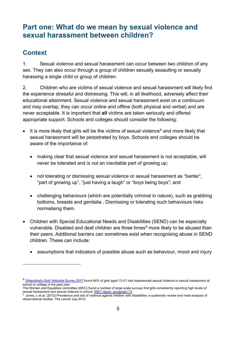# <span id="page-4-0"></span>**Part one: What do we mean by sexual violence and sexual harassment between children?**

## <span id="page-4-1"></span>**Context**

 $\overline{a}$ 

1. Sexual violence and sexual harassment can occur between two children of any sex. They can also occur through a group of children sexually assaulting or sexually harassing a single child or group of children.

2. Children who are victims of sexual violence and sexual harassment will likely find the experience stressful and distressing. This will, in all likelihood, adversely affect their educational attainment. Sexual violence and sexual harassment exist on a continuum and may overlap, they can occur online and offline (both physical and verbal) and are never acceptable. It is important that **all** victims are taken seriously and offered appropriate support. Schools and colleges should consider the following:

- $\bullet$  It is more likely that girls will be the victims of sexual violence<sup>[5](#page-4-2)</sup> and more likely that sexual harassment will be perpetrated by boys. Schools and colleges should be aware of the importance of:
	- making clear that sexual violence and sexual harassment is not acceptable, will never be tolerated and is not an inevitable part of growing up;
	- not tolerating or dismissing sexual violence or sexual harassment as "banter", "part of growing up", "just having a laugh" or "boys being boys"; and
	- challenging behaviours (which are potentially criminal in nature), such as grabbing bottoms, breasts and genitalia . Dismissing or tolerating such behaviours risks normalising them.
- Children with Special Educational Needs and Disabilities (SEND) can be especially vulnerable. Disabled and deaf children are three times<sup>[6](#page-4-3)</sup> more likely to be abused than their peers. Additional barriers can sometimes exist when recognising abuse in SEND children. These can include:
	- assumptions that indicators of possible abuse such as behaviour, mood and injury

<span id="page-4-2"></span><sup>5</sup> [Girlguiding's Girls' Attitudes Survey 2017](https://www.girlguiding.org.uk/social-action-advocacy-and-campaigns/research/girls-attitudes-survey?gclid=EAIaIQobChMI7I6dxcWp1wIVxeAYCh0MQQ6AEAAYASAAEgKFyfD_BwE) found 64% of girls aged 13-21 had experienced sexual violence or sexual harassment at school or college in the past year.

The Women and Equalities committee (WEC) found a number of large scale surveys find girls consistently reporting high levels of sexual harassment and sexual violence in school: WEC report- paragraph 13

<span id="page-4-3"></span> $^{\rm 6}$  Jones, L et al. (2012) Prevalence and risk of violence against children with disabilities: a systematic review and meta-analysis of observational studies. The Lancet July 2012.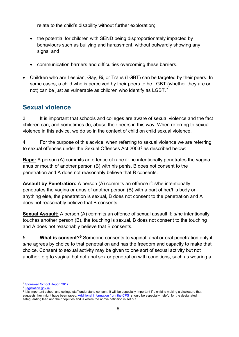relate to the child's disability without further exploration;

- the potential for children with SEND being disproportionately impacted by behaviours such as bullying and harassment, without outwardly showing any signs; and
- communication barriers and difficulties overcoming these barriers.
- Children who are Lesbian, Gay, Bi, or Trans (LGBT) can be targeted by their peers. In some cases, a child who is perceived by their peers to be LGBT (whether they are or not) can be just as vulnerable as children who identify as LGBT. $^7$  $^7$

## <span id="page-5-0"></span>**Sexual violence**

3. It is important that schools and colleges are aware of sexual violence and the fact children can, and sometimes do, abuse their peers in this way. When referring to sexual violence in this advice, we do so in the context of child on child sexual violence.

4. For the purpose of this advice, when referring to sexual violence we are referring to sexual offences under the Sexual Offences Act 2003<sup>[8](#page-5-2)</sup> as described below:

**Rape:** A person (A) commits an offence of rape if: he intentionally penetrates the vagina, anus or mouth of another person (B) with his penis, B does not consent to the penetration and A does not reasonably believe that B consents.

**Assault by Penetration:** A person (A) commits an offence if: s/he intentionally penetrates the vagina or anus of another person (B) with a part of her/his body or anything else, the penetration is sexual, B does not consent to the penetration and A does not reasonably believe that B consents.

**Sexual Assault:** A person (A) commits an offence of sexual assault if: s/he intentionally touches another person (B), the touching is sexual, B does not consent to the touching and A does not reasonably believe that B consents.

5. **What is consent?[9](#page-5-3)** Someone consents to vaginal, anal or oral penetration only if s/he agrees by choice to that penetration and has the freedom and capacity to make that choice. Consent to sexual activity may be given to one sort of sexual activity but not another, e.g.to vaginal but not anal sex or penetration with conditions, such as wearing a

 $\overline{a}$ 

<span id="page-5-1"></span><sup>7</sup> [Stonewall School Report 2017](http://www.stonewall.org.uk/school-report-2017)

<span id="page-5-2"></span><sup>8</sup> [Legislation.gov.uk](https://www.legislation.gov.uk/ukpga/2003/42/contents)

<span id="page-5-3"></span><sup>9</sup> It is important school and college staff understand consent. It will be especially important if a child is making a disclosure that suggests they might have been raped[. Additional information from the CPS](https://www.cps.gov.uk/publications/equality/vaw/what_is_consent_v2.pdf) should be especially helpful for the designated safeguarding lead and their deputies and is where the above definition is set out.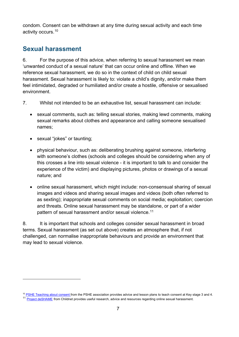condom. Consent can be withdrawn at any time during sexual activity and each time activity occurs.[10](#page-6-1)

## <span id="page-6-0"></span>**Sexual harassment**

6. For the purpose of this advice, when referring to sexual harassment we mean 'unwanted conduct of a sexual nature' that can occur online and offline. When we reference sexual harassment, we do so in the context of child on child sexual harassment. Sexual harassment is likely to: violate a child's dignity, and/or make them feel intimidated, degraded or humiliated and/or create a hostile, offensive or sexualised environment.

- 7. Whilst not intended to be an exhaustive list, sexual harassment can include:
	- sexual comments, such as: telling sexual stories, making lewd comments, making sexual remarks about clothes and appearance and calling someone sexualised names;
	- sexual "jokes" or taunting:

 $\overline{a}$ 

- physical behaviour, such as: deliberating brushing against someone, interfering with someone's clothes (schools and colleges should be considering when any of this crosses a line into sexual violence - it is important to talk to and consider the experience of the victim) and displaying pictures, photos or drawings of a sexual nature; and
- online sexual harassment, which might include: non-consensual sharing of sexual images and videos and sharing sexual images and videos (both often referred to as sexting); inappropriate sexual comments on social media; exploitation; coercion and threats. Online sexual harassment may be standalone, or part of a wider pattern of sexual harassment and/or sexual violence. [11](#page-6-2)

8. It is important that schools and colleges consider sexual harassment in broad terms. Sexual harassment (as set out above) creates an atmosphere that, if not challenged, can normalise inappropriate behaviours and provide an environment that may lead to sexual violence.

<span id="page-6-1"></span> $10$  [PSHE Teaching about consent f](https://www.pshe-association.org.uk/curriculum-and-resources/resources/guidance-teaching-about-consent-pshe-education-key)rom the PSHE association provides advice and lesson plans to teach consent at Key stage 3 and 4.

<span id="page-6-2"></span><sup>&</sup>lt;sup>11</sup> [Project deSHAME](http://www.childnet.com/our-projects/project-deshame) from Childnet provides useful research, advice and resources regarding online sexual harassment.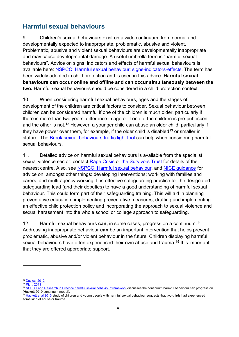## <span id="page-7-0"></span>**Harmful sexual behaviours**

9. Children's sexual behaviours exist on a wide continuum, from normal and developmentally expected to inappropriate, problematic, abusive and violent. Problematic, abusive and violent sexual behaviours are developmentally inappropriate and may cause developmental damage. A useful umbrella term is "harmful sexual behaviours". Advice on signs, indicators and effects of harmful sexual behaviours is available here: [NSPCC: Harmful sexual behaviour: signs-indicators-effects.](https://www.nspcc.org.uk/preventing-abuse/child-abuse-and-neglect/harmful-sexual-behaviour/signs-symptoms-effects/) The term has been widely adopted in child protection and is used in this advice. **Harmful sexual behaviours can occur online and offline and can occur simultaneously between the two.** Harmful sexual behaviours should be considered in a child protection context.

10. When considering harmful sexual behaviours, ages and the stages of development of the children are critical factors to consider. Sexual behaviour between children can be considered harmful if one of the children is much older, particularly if there is more than two years' difference in age or if one of the children is pre-pubescent and the other is not.<sup>[12](#page-7-1)</sup> However, a younger child can abuse an older child, particularly if they have power over them, for example, if the older child is disabled<sup>[13](#page-7-2)</sup> or smaller in stature. The [Brook sexual](https://www.brook.org.uk/our-work/the-sexual-behaviours-traffic-light-tool) behaviours traffic light tool can help when considering harmful sexual behaviours.

11. Detailed advice on harmful sexual behaviours is available from the specialist sexual violence sector: contact [Rape Crisis](https://rapecrisis.org.uk/) or [the Survivors Trust](http://thesurvivorstrust.org/) for details of the nearest centre. Also, see [NSPCC: Harmful](https://www.nspcc.org.uk/preventing-abuse/child-abuse-and-neglect/harmful-sexual-behaviour/) sexual behaviour, and [NICE guidance](https://www.nice.org.uk/guidance/ng55) for advice on, amongst other things: developing interventions; working with families and carers; and multi-agency working. It is effective safeguarding practice for the designated safeguarding lead (and their deputies) to have a good understanding of harmful sexual behaviour. This could form part of their safeguarding training. This will aid in planning preventative education, implementing preventative measures, drafting and implementing an effective child protection policy and incorporating the approach to sexual violence and sexual harassment into the whole school or college approach to safeguarding.

12. Harmful sexual behaviours **can,** in some cases, progress on a continuum. [14](#page-7-3) Addressing inappropriate behaviour **can** be an important intervention that helps prevent problematic, abusive and/or violent behaviour in the future. Children displaying harmful sexual behaviours have often experienced their own abuse and trauma. [15](#page-7-4) It is important that they are offered appropriate support.

 $\overline{a}$ 

<span id="page-7-1"></span><sup>12</sup> [Davies, 2012](https://www.nspcc.org.uk/preventing-abuse/child-abuse-and-neglect/harmful-sexual-behaviour/#pageref2190)

<span id="page-7-2"></span><sup>&</sup>lt;sup>13</sup> <u>[Rich, 2011](https://www.nspcc.org.uk/preventing-abuse/child-abuse-and-neglect/harmful-sexual-behaviour/#pageref2239)</u>

<span id="page-7-3"></span><sup>&</sup>lt;sup>14</sup> <u>[NSPCC and Research in Practice harmful sexual behaviour framework](https://www.nspcc.org.uk/services-and-resources/research-and-resources/2016/harmful-sexual-behaviour-framework/)</u> discusses the continuum harmful behaviour can progress on (Hackett 2010 continuum model).

<span id="page-7-4"></span><sup>&</sup>lt;sup>15</sup> [Hackett et al 2013](http://onlinelibrary.wiley.com/doi/10.1002/car.2246/abstract;jsessionid=C96A10F43D4BF60A54EC7FEF2AA0B895.f03t01) study of children and young people with harmful sexual behaviour suggests that two-thirds had experienced some kind of abuse or trauma.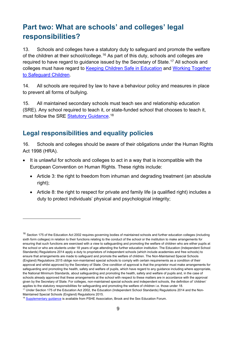# <span id="page-8-0"></span>**Part two: What are schools' and colleges' legal responsibilities?**

13. Schools and colleges have a statutory duty to safeguard and promote the welfare of the children at their school/college. $^{16}$  $^{16}$  $^{16}$  As part of this duty, schools and colleges are required to have regard to guidance issued by the Secretary of State. [17](#page-8-3) All schools and colleges must have regard to [Keeping Children Safe in Education](https://www.gov.uk/government/publications/keeping-children-safe-in-education--2) and [Working Together](https://www.gov.uk/government/publications/working-together-to-safeguard-children--2)  [to Safeguard Children.](https://www.gov.uk/government/publications/working-together-to-safeguard-children--2)

14. All schools are required by law to have a behaviour policy and measures in place to prevent all forms of bullying.

15. All maintained secondary schools must teach sex and relationship education (SRE). Any school required to teach it, or state-funded school that chooses to teach it, must follow the SRE <u>Statutory Guidance</u>.<sup>[18](#page-8-4)</sup>

## <span id="page-8-1"></span>**Legal responsibilities and equality policies**

 $\overline{a}$ 

16. Schools and colleges should be aware of their obligations under the Human Rights Act 1998 (HRA).

- It is unlawful for schools and colleges to act in a way that is incompatible with the European Convention on Human Rights. These rights include:
	- Article 3: the right to freedom from inhuman and degrading treatment (an absolute right);
	- Article 8: the right to respect for private and family life (a qualified right) includes a duty to protect individuals' physical and psychological integrity;

<span id="page-8-2"></span><sup>&</sup>lt;sup>16</sup> Section 175 of the Education Act 2002 requires governing bodies of maintained schools and further education colleges (including sixth form colleges) in relation to their functions relating to the conduct of the school or the institution to make arrangements for ensuring that such functions are exercised with a view to safeguarding and promoting the welfare of children who are either pupils at the school or who are students under 18 years of age attending the further education institution. The Education (Independent School Standards) Regulations 2014 apply a duty to proprietors of independent schools (which include academies and free schools) to ensure that arrangements are made to safeguard and promote the welfare of children. The Non-Maintained Special Schools (England) Regulations 2015 oblige non-maintained special schools to comply with certain requirements as a condition of their approval and whilst approved by the Secretary of State. One condition of approval is that the proprietor must make arrangements for safeguarding and promoting the health, safety and welfare of pupils, which have regard to any guidance including where appropriate, the National Minimum Standards, about safeguarding and promoting the health, safety and welfare of pupils and, in the case of schools already approved that these arrangements at the school with respect to these matters are in accordance with the approval given by the Secretary of State. For colleges, non-maintained special schools and independent schools, the definition of 'children' applies to the statutory responsibilities for safeguarding and promoting the welfare of children i.e. those under 18.

<span id="page-8-3"></span><sup>&</sup>lt;sup>17</sup> Under Section 175 of the Education Act 2002, the Education (Independent School Standards) Regulations 2014 and the Non-Maintained Special Schools (England) Regulations 2015.

<span id="page-8-4"></span><sup>&</sup>lt;sup>18</sup> [Supplementary guidance](https://www.pshe-association.org.uk/curriculum-and-resources/resources/sex-and-relationship-education-sre-21st-century) is available from PSHE Association, Brook and the Sex Education Forum.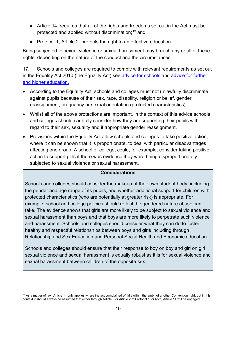- Article 14: requires that all of the rights and freedoms set out in the Act must be protected and applied without discrimination; [19](#page-9-0) and
- Protocol 1, Article 2: protects the right to an effective education.

Being subjected to sexual violence or sexual harassment may breach any or all of these rights, depending on the nature of the conduct and the circumstances.

17. Schools and colleges are required to comply with relevant requirements as set out in the Equality Act 2010 (the Equality Act) see [advice for schools](https://www.gov.uk/government/publications/equality-act-2010-advice-for-schools) and [advice for further](https://www.equalityhumanrights.com/en/publication-download/what-equality-law-means-you-education-provider-%E2%80%93-further-and-higher-education)  and higher education.

- According to the Equality Act, schools and colleges must not unlawfully discriminate against pupils because of their sex, race, disability, religion or belief, gender reassignment, pregnancy or sexual orientation (protected characteristics).
- Whilst all of the above protections are important, in the context of this advice schools and colleges should carefully consider how they are supporting their pupils with regard to their sex, sexuality and if appropriate gender reassignment.
- Provisions within the Equality Act allow schools and colleges to take positive action, where it can be shown that it is proportionate, to deal with particular disadvantages affecting one group. A school or college, could, for example, consider taking positive action to support girls if there was evidence they were being disproportionately subjected to sexual violence or sexual harassment.

#### **Considerations**

Schools and colleges should consider the makeup of their own student body, including the gender and age range of its pupils, and whether additional support for children with protected characteristics (who are potentially at greater risk) is appropriate. For example, school and college policies should reflect the gendered nature abuse can take. The evidence shows that girls are more likely to be subject to sexual violence and sexual harassment than boys and that boys are more likely to perpetrate such violence and harassment. Schools and colleges should consider what they can do to foster healthy and respectful relationships between boys and girls including through Relationship and Sex Education and Personal Social Health and Economic education.

Schools and colleges should ensure that their response to boy on boy and girl on girl sexual violence and sexual harassment is equally robust as it is for sexual violence and sexual harassment between children of the opposite sex.

 $\overline{a}$ 

<span id="page-9-0"></span><sup>&</sup>lt;sup>19</sup> As a matter of law, Article 14 only applies where the act complained of falls within the ambit of another Convention right, but in this context it should always be assumed that either through Article 8 or Article 2 of Protocol 1, or both, Article 14 will be engaged.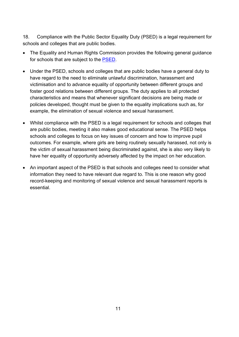18. Compliance with the Public Sector Equality Duty (PSED) is a legal requirement for schools and colleges that are public bodies.

- The Equality and Human Rights Commission provides the following general guidance for schools that are subject to the [PSED.](https://www.equalityhumanrights.com/en/publication-download/public-sector-equality-duty-guidance-schools-england)
- Under the PSED, schools and colleges that are public bodies have a general duty to have regard to the need to eliminate unlawful discrimination, harassment and victimisation and to advance equality of opportunity between different groups and foster good relations between different groups. The duty applies to all protected characteristics and means that whenever significant decisions are being made or policies developed, thought must be given to the equality implications such as, for example, the elimination of sexual violence and sexual harassment.
- Whilst compliance with the PSED is a legal requirement for schools and colleges that are public bodies, meeting it also makes good educational sense. The PSED helps schools and colleges to focus on key issues of concern and how to improve pupil outcomes. For example, where girls are being routinely sexually harassed, not only is the victim of sexual harassment being discriminated against, she is also very likely to have her equality of opportunity adversely affected by the impact on her education.
- An important aspect of the PSED is that schools and colleges need to consider what information they need to have relevant due regard to. This is one reason why good record-keeping and monitoring of sexual violence and sexual harassment reports is essential.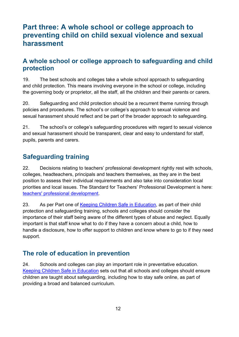# <span id="page-11-0"></span>**Part three: A whole school or college approach to preventing child on child sexual violence and sexual harassment**

## <span id="page-11-1"></span>**A whole school or college approach to safeguarding and child protection**

19. The best schools and colleges take a whole school approach to safeguarding and child protection. This means involving everyone in the school or college, including the governing body or proprietor, all the staff, all the children and their parents or carers.

20. Safeguarding and child protection should be a recurrent theme running through policies and procedures. The school's or college's approach to sexual violence and sexual harassment should reflect and be part of the broader approach to safeguarding.

21. The school's or college's safeguarding procedures with regard to sexual violence and sexual harassment should be transparent, clear and easy to understand for staff, pupils, parents and carers.

## <span id="page-11-2"></span>**Safeguarding training**

22. Decisions relating to teachers' professional development rightly rest with schools, colleges, headteachers, principals and teachers themselves, as they are in the best position to assess their individual requirements and also take into consideration local priorities and local issues. The Standard for Teachers' Professional Development is here: [teachers' professional development.](https://www.gov.uk/government/publications/standard-for-teachers-professional-development)

23. As per Part one of [Keeping Children Safe in Education,](https://www.gov.uk/government/publications/keeping-children-safe-in-education--2) as part of their child protection and safeguarding training, schools and colleges should consider the importance of their staff being aware of the different types of abuse and neglect. Equally important is that staff know what to do if they have a concern about a child, how to handle a disclosure, how to offer support to children and know where to go to if they need support.

## <span id="page-11-3"></span>**The role of education in prevention**

24. Schools and colleges can play an important role in preventative education. [Keeping Children Safe in Education](https://www.gov.uk/government/publications/keeping-children-safe-in-education--2) sets out that all schools and colleges should ensure children are taught about safeguarding, including how to stay safe online, as part of providing a broad and balanced curriculum.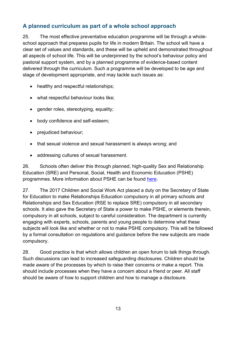## **A planned curriculum as part of a whole school approach**

25. The most effective preventative education programme will be through a wholeschool approach that prepares pupils for life in modern Britain. The school will have a clear set of values and standards, and these will be upheld and demonstrated throughout all aspects of school life. This will be underpinned by the school's behaviour policy and pastoral support system, and by a planned programme of evidence-based content delivered through the curriculum. Such a programme will be developed to be age and stage of development appropriate, and may tackle such issues as:

- healthy and respectful relationships:
- what respectful behaviour looks like;
- gender roles, stereotyping, equality;
- body confidence and self-esteem;
- prejudiced behaviour;
- that sexual violence and sexual harassment is always wrong; and
- addressing cultures of sexual harassment.

26. Schools often deliver this through planned, high-quality Sex and Relationship Education (SRE) and Personal, Social, Health and Economic Education (PSHE) programmes. More information about PSHE can be found [here.](https://www.gov.uk/government/publications/personal-social-health-and-economic-education-pshe)

27. The 2017 Children and Social Work Act placed a duty on the Secretary of State for Education to make Relationships Education compulsory in all primary schools and Relationships and Sex Education (RSE to replace SRE) compulsory in all secondary schools. It also gave the Secretary of State a power to make PSHE, or elements therein, compulsory in all schools, subject to careful consideration. The department is currently engaging with experts, schools, parents and young people to determine what these subjects will look like and whether or not to make PSHE compulsory. This will be followed by a formal consultation on regulations and guidance before the new subjects are made compulsory.

28. Good practice is that which allows children an open forum to talk things through. Such discussions can lead to increased safeguarding disclosures. Children should be made aware of the processes by which to raise their concerns or make a report. This should include processes when they have a concern about a friend or peer. All staff should be aware of how to support children and how to manage a disclosure.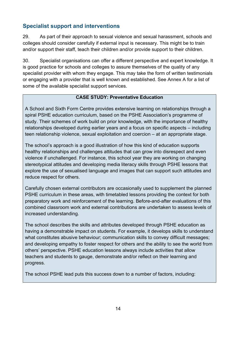## **Specialist support and interventions**

29. As part of their approach to sexual violence and sexual harassment, schools and colleges should consider carefully if external input is necessary. This might be to train and/or support their staff, teach their children and/or provide support to their children.

30. Specialist organisations can offer a different perspective and expert knowledge. It is good practice for schools and colleges to assure themselves of the quality of any specialist provider with whom they engage. This may take the form of written testimonials or engaging with a provider that is well known and established. See Annex A for a list of some of the available specialist support services.

#### **CASE STUDY: Preventative Education**

A School and Sixth Form Centre provides extensive learning on relationships through a spiral PSHE education curriculum, based on the PSHE Association's programme of study. Their schemes of work build on prior knowledge, with the importance of healthy relationships developed during earlier years and a focus on specific aspects – including teen relationship violence, sexual exploitation and coercion – at an appropriate stage.

The school's approach is a good illustration of how this kind of education supports healthy relationships and challenges attitudes that can grow into disrespect and even violence if unchallenged. For instance, this school year they are working on changing stereotypical attitudes and developing media literacy skills through PSHE lessons that explore the use of sexualised language and images that can support such attitudes and reduce respect for others.

Carefully chosen external contributors are occasionally used to supplement the planned PSHE curriculum in these areas, with timetabled lessons providing the context for both preparatory work and reinforcement of the learning. Before-and-after evaluations of this combined classroom work and external contributions are undertaken to assess levels of increased understanding.

The school describes the skills and attributes developed through PSHE education as having a demonstrable impact on students. For example, it develops skills to understand what constitutes abusive behaviour; communication skills to convey difficult messages; and developing empathy to foster respect for others and the ability to see the world from others' perspective. PSHE education lessons always include activities that allow teachers and students to gauge, demonstrate and/or reflect on their learning and progress.

The school PSHE lead puts this success down to a number of factors, including: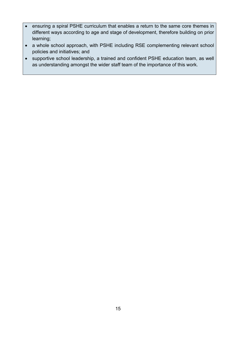- ensuring a spiral PSHE curriculum that enables a return to the same core themes in different ways according to age and stage of development, therefore building on prior learning;
- a whole school approach, with PSHE including RSE complementing relevant school policies and initiatives; and
- supportive school leadership, a trained and confident PSHE education team, as well as understanding amongst the wider staff team of the importance of this work.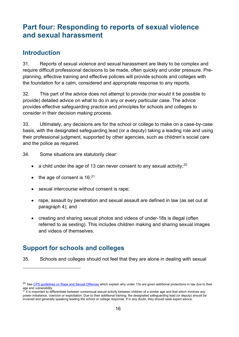# <span id="page-15-0"></span>**Part four: Responding to reports of sexual violence and sexual harassment**

## <span id="page-15-1"></span>**Introduction**

31. Reports of sexual violence and sexual harassment are likely to be complex and require difficult professional decisions to be made, often quickly and under pressure. Preplanning, effective training and effective policies will provide schools and colleges with the foundation for a calm, considered and appropriate response to any reports.

32. This part of the advice does not attempt to provide (nor would it be possible to provide) detailed advice on what to do in any or every particular case. The advice provides effective safeguarding practice and principles for schools and colleges to consider in their decision making process.

33. Ultimately, any decisions are for the school or college to make on a case-by-case basis, with the designated safeguarding lead (or a deputy) taking a leading role and using their professional judgment, supported by other agencies, such as children's social care and the police as required.

34. Some situations are statutorily clear:

- a child under the age of 13 can never consent to any sexual activity;  $20$
- $\bullet$  the age of consent is 16;<sup>[21](#page-15-4)</sup>
- sexual intercourse without consent is rape;
- rape, assault by penetration and sexual assault are defined in law (as set out at paragraph 4); and
- creating and sharing sexual photos and videos of under-18s is illegal (often referred to as sexting). This includes children making and sharing sexual images and videos of themselves.

## <span id="page-15-2"></span>**Support for schools and colleges**

 $\overline{a}$ 

35. Schools and colleges should not feel that they are alone in dealing with sexual

<span id="page-15-3"></span><sup>&</sup>lt;sup>20</sup> See [CPS guidelines on Rape and Sexual Offences](http://www.cps.gov.uk/legal/p_to_r/rape_and_sexual_offences/soa_2003_and_soa_1956/#a15) which explain why under 13s are given additional protections in law due to their age and vulnerability.

<span id="page-15-4"></span> $^{21}$  It is important to differentiate between consensual sexual activity between children of a similar age and that which involves any power imbalance, coercion or exploitation. Due to their additional training, the designated safeguarding lead (or deputy) should be involved and generally speaking leading the school or college response. If in any doubt, they should seek expert advice.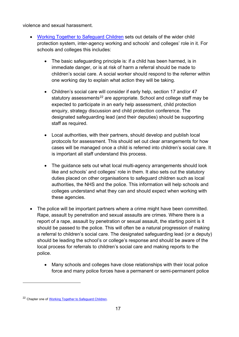violence and sexual harassment.

- [Working Together to Safeguard Children](https://www.gov.uk/government/publications/working-together-to-safeguard-children--2) sets out details of the wider child protection system, inter-agency working and schools' and colleges' role in it. For schools and colleges this includes:
	- The basic safeguarding principle is: if a child has been harmed, is in immediate danger, or is at risk of harm a referral should be made to children's social care. A social worker should respond to the referrer within one working day to explain what action they will be taking.
	- Children's social care will consider if early help, section 17 and/or 47 statutory assessments<sup>[22](#page-16-0)</sup> are appropriate. School and college staff may be expected to participate in an early help assessment, child protection enquiry, strategy discussion and child protection conference. The designated safeguarding lead (and their deputies) should be supporting staff as required.
	- Local authorities, with their partners, should develop and publish local protocols for assessment. This should set out clear arrangements for how cases will be managed once a child is referred into children's social care. It is important all staff understand this process.
	- The guidance sets out what local multi-agency arrangements should look like and schools' and colleges' role in them. It also sets out the statutory duties placed on other organisations to safeguard children such as local authorities, the NHS and the police. This information will help schools and colleges understand what they can and should expect when working with these agencies.
- The police will be important partners where a crime might have been committed. Rape, assault by penetration and sexual assaults are crimes. Where there is a report of a rape, assault by penetration or sexual assault, the starting point is it should be passed to the police. This will often be a natural progression of making a referral to children's social care. The designated safeguarding lead (or a deputy) should be leading the school's or college's response and should be aware of the local process for referrals to children's social care and making reports to the police.
	- Many schools and colleges have close relationships with their local police force and many police forces have a permanent or semi-permanent police

 $\overline{a}$ 

<span id="page-16-0"></span><sup>22</sup> Chapter one of [Working Together to Safeguard Children.](https://www.gov.uk/government/publications/working-together-to-safeguard-children--2)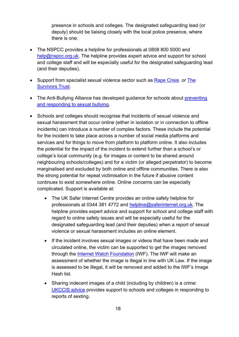presence in schools and colleges. The designated safeguarding lead (or deputy) should be liaising closely with the local police presence, where there is one.

- The NSPCC provides a helpline for professionals at 0808 800 5000 and [help@nspcc.org.uk.](mailto:help@nspcc.org.uk) The helpline provides expert advice and support for school and college staff and will be especially useful for the designated safeguarding lead (and their deputies).
- Support from specialist sexual violence sector such as [Rape Crisis](https://rapecrisis.org.uk/) or The [Survivors Trust.](http://thesurvivorstrust.org/)
- The Anti-Bullying Alliance has developed guidance for schools about preventing [and responding to sexual bullying.](https://www.anti-bullyingalliance.org.uk/tools-information/all-about-bullying/sexual-and-gender-related/preventing-and-responding-sexual)
- Schools and colleges should recognise that incidents of sexual violence and sexual harassment that occur online (either in isolation or in connection to offline incidents) can introduce a number of complex factors. These include the potential for the incident to take place across a number of social media platforms and services and for things to move from platform to platform online. It also includes the potential for the impact of the incident to extend further than a school's or college's local community (e.g. for images or content to be shared around neighbouring schools/colleges) and for a victim (or alleged perpetrator) to become marginalised and excluded by both online and offline communities. There is also the strong potential for repeat victimisation in the future if abusive content continues to exist somewhere online. Online concerns can be especially complicated. Support is available at:
	- The UK Safer Internet Centre provides an online safety helpline for professionals at 0344 381 4772 and [helpline@saferinternet.org.uk.](mailto:helpline@saferinternet.org.uk) The helpline provides expert advice and support for school and college staff with regard to online safety issues and will be especially useful for the designated safeguarding lead (and their deputies) when a report of sexual violence or sexual harassment includes an online element.
	- If the incident involves sexual images or videos that have been made and circulated online, the victim can be supported to get the images removed through the **Internet Watch Foundation** (IWF). The IWF will make an assessment of whether the image is illegal in line with UK Law. If the image is assessed to be illegal, it will be removed and added to the IWF's Image Hash list.
	- Sharing indecent images of a child (including by children) is a crime: [UKCCIS advice](https://www.gov.uk/government/groups/uk-council-for-child-internet-safety-ukccis) provides support to schools and colleges in responding to reports of sexting.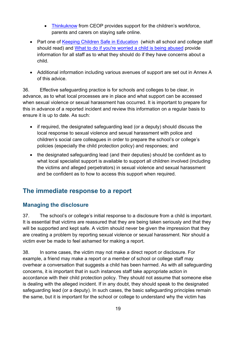- [Thinkuknow](https://www.thinkuknow.co.uk/) from CEOP provides support for the children's workforce, parents and carers on staying safe online.
- Part one of [Keeping Children Safe in Education](https://www.gov.uk/government/publications/keeping-children-safe-in-education--2) (which all school and college staff should read) and [What to do if you're worried a child is being abused](https://www.gov.uk/government/publications/what-to-do-if-youre-worried-a-child-is-being-abused--2) provide information for all staff as to what they should do if they have concerns about a child.
- Additional information including various avenues of support are set out in Annex A of this advice.

36. Effective safeguarding practice is for schools and colleges to be clear, in advance, as to what local processes are in place and what support can be accessed when sexual violence or sexual harassment has occurred. It is important to prepare for this in advance of a reported incident and review this information on a regular basis to ensure it is up to date. As such:

- if required, the designated safeguarding lead (or a deputy) should discuss the local response to sexual violence and sexual harassment with police and children's social care colleagues in order to prepare the school's or college's policies (especially the child protection policy) and responses; and
- the designated safeguarding lead (and their deputies) should be confident as to what local specialist support is available to support all children involved (including the victims and alleged perpetrators) in sexual violence and sexual harassment and be confident as to how to access this support when required.

## <span id="page-18-0"></span>**The immediate response to a report**

#### **Managing the disclosure**

37. The school's or college's initial response to a disclosure from a child is important. It is essential that victims are reassured that they are being taken seriously and that they will be supported and kept safe. A victim should never be given the impression that they are creating a problem by reporting sexual violence or sexual harassment. Nor should a victim ever be made to feel ashamed for making a report.

38. In some cases, the victim may not make a direct report or disclosure. For example, a friend may make a report or a member of school or college staff may overhear a conversation that suggests a child has been harmed. As with all safeguarding concerns, it is important that in such instances staff take appropriate action in accordance with their child protection policy. They should not assume that someone else is dealing with the alleged incident. If in any doubt, they should speak to the designated safeguarding lead (or a deputy). In such cases, the basic safeguarding principles remain the same, but it is important for the school or college to understand why the victim has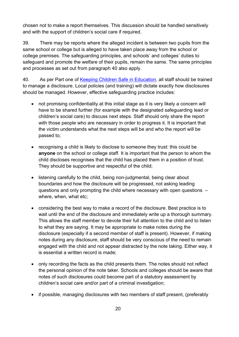chosen not to make a report themselves. This discussion should be handled sensitively and with the support of children's social care if required.

39. There may be reports where the alleged incident is between two pupils from the same school or college but is alleged to have taken place away from the school or college premises. The safeguarding principles, and schools' and colleges' duties to safeguard and promote the welfare of their pupils, remain the same. The same principles and processes as set out from paragraph 40 also apply.

40. As per Part one of [Keeping Children Safe in Education,](https://www.gov.uk/government/publications/keeping-children-safe-in-education--2) all staff should be trained to manage a disclosure. Local policies (and training) will dictate exactly how disclosures should be managed. However, effective safeguarding practice includes:

- not promising confidentiality at this initial stage as it is very likely a concern will have to be shared further (for example with the designated safeguarding lead or children's social care) to discuss next steps. Staff should only share the report with those people who are necessary in order to progress it. It is important that the victim understands what the next steps will be and who the report will be passed to;
- recognising a child is likely to disclose to someone they trust: this could be **anyone** on the school or college staff. It is important that the person to whom the child discloses recognises that the child has placed them in a position of trust. They should be supportive and respectful of the child;
- listening carefully to the child, being non-judgmental, being clear about boundaries and how the disclosure will be progressed, not asking leading questions and only prompting the child where necessary with open questions – where, when, what etc;
- considering the best way to make a record of the disclosure. Best practice is to wait until the end of the disclosure and immediately write up a thorough summary. This allows the staff member to devote their full attention to the child and to listen to what they are saying. It may be appropriate to make notes during the disclosure (especially if a second member of staff is present). However, if making notes during any disclosure, staff should be very conscious of the need to remain engaged with the child and not appear distracted by the note taking. Either way, it is essential a written record is made;
- only recording the facts as the child presents them. The notes should not reflect the personal opinion of the note taker. Schools and colleges should be aware that notes of such disclosures could become part of a statutory assessment by children's social care and/or part of a criminal investigation;
- if possible, managing disclosures with two members of staff present, (preferably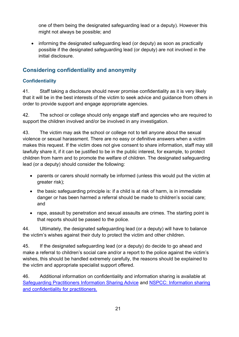one of them being the designated safeguarding lead or a deputy). However this might not always be possible; and

• informing the designated safeguarding lead (or deputy) as soon as practically possible if the designated safeguarding lead (or deputy) are not involved in the initial disclosure.

## **Considering confidentiality and anonymity**

#### **Confidentiality**

41. Staff taking a disclosure should never promise confidentiality as it is very likely that it will be in the best interests of the victim to seek advice and guidance from others in order to provide support and engage appropriate agencies.

42. The school or college should only engage staff and agencies who are required to support the children involved and/or be involved in any investigation.

43. The victim may ask the school or college not to tell anyone about the sexual violence or sexual harassment. There are no easy or definitive answers when a victim makes this request. If the victim does not give consent to share information, staff may still lawfully share it, if it can be justified to be in the public interest, for example, to protect children from harm and to promote the welfare of children. The designated safeguarding lead (or a deputy) should consider the following:

- parents or carers should normally be informed (unless this would put the victim at greater risk);
- the basic safeguarding principle is: if a child is at risk of harm, is in immediate danger or has been harmed a referral should be made to children's social care; and
- rape, assault by penetration and sexual assaults are crimes. The starting point is that reports should be passed to the police.

44. Ultimately, the designated safeguarding lead (or a deputy) will have to balance the victim's wishes against their duty to protect the victim and other children.

45. If the designated safeguarding lead (or a deputy) do decide to go ahead and make a referral to children's social care and/or a report to the police against the victim's wishes, this should be handled extremely carefully, the reasons should be explained to the victim and appropriate specialist support offered.

46. Additional information on confidentiality and information sharing is available at [Safeguarding Practitioners Information Sharing Advice](https://www.gov.uk/government/publications/safeguarding-practitioners-information-sharing-advice) and [NSPCC: Information sharing](https://www.nspcc.org.uk/globalassets/documents/information-service/information-sharing-confidentiality-practitioners.pdf)  [and confidentiality for practitioners.](https://www.nspcc.org.uk/globalassets/documents/information-service/information-sharing-confidentiality-practitioners.pdf)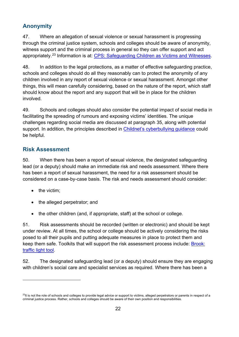## **Anonymity**

47. Where an allegation of sexual violence or sexual harassment is progressing through the criminal justice system, schools and colleges should be aware of anonymity, witness support and the criminal process in general so they can offer support and act appropriately.<sup>[23](#page-21-0)</sup> Information is at: <u>CPS: Safeguarding Children as Victims and Witnesses</u>.

48. In addition to the legal protections, as a matter of effective safeguarding practice, schools and colleges should do all they reasonably can to protect the anonymity of any children involved in any report of sexual violence or sexual harassment. Amongst other things, this will mean carefully considering, based on the nature of the report, which staff should know about the report and any support that will be in place for the children involved.

49. Schools and colleges should also consider the potential impact of social media in facilitating the spreading of rumours and exposing victims' identities. The unique challenges regarding social media are discussed at paragraph 35, along with potential support. In addition, the principles described in [Childnet's cyberbullying guidance](http://www.childnet.com/resources/cyberbullying-guidance-for-schools) could be helpful.

## **Risk Assessment**

50. When there has been a report of sexual violence, the designated safeguarding lead (or a deputy) should make an immediate risk and needs assessment. Where there has been a report of sexual harassment, the need for a risk assessment should be considered on a case-by-case basis. The risk and needs assessment should consider:

• the victim:

 $\overline{a}$ 

- the alleged perpetrator; and
- the other children (and, if appropriate, staff) at the school or college.

51. Risk assessments should be recorded (written or electronic) and should be kept under review. At all times, the school or college should be actively considering the risks posed to all their pupils and putting adequate measures in place to protect them and keep them safe. Toolkits that will support the risk assessment process include: [Brook:](https://www.brook.org.uk/our-work/category/sexual-behaviours-traffic-light-tool)  [traffic light tool.](https://www.brook.org.uk/our-work/category/sexual-behaviours-traffic-light-tool)

52. The designated safeguarding lead (or a deputy) should ensure they are engaging with children's social care and specialist services as required. Where there has been a

<span id="page-21-0"></span><sup>&</sup>lt;sup>23</sup>It is not the role of schools and colleges to provide legal advice or support to victims, alleged perpetrators or parents in respect of a criminal justice process. Rather, schools and colleges should be aware of their own position and responsibilities.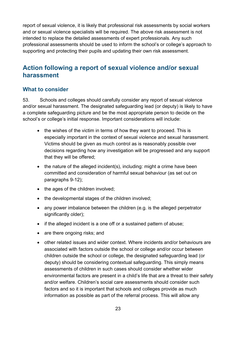report of sexual violence, it is likely that professional risk assessments by social workers and or sexual violence specialists will be required. The above risk assessment is not intended to replace the detailed assessments of expert professionals. Any such professional assessments should be used to inform the school's or college's approach to supporting and protecting their pupils and updating their own risk assessment.

## <span id="page-22-0"></span>**Action following a report of sexual violence and/or sexual harassment**

#### **What to consider**

53. Schools and colleges should carefully consider any report of sexual violence and/or sexual harassment. The designated safeguarding lead (or deputy) is likely to have a complete safeguarding picture and be the most appropriate person to decide on the school's or college's initial response. Important considerations will include:

- the wishes of the victim in terms of how they want to proceed. This is especially important in the context of sexual violence and sexual harassment. Victims should be given as much control as is reasonably possible over decisions regarding how any investigation will be progressed and any support that they will be offered;
- the nature of the alleged incident(s), including: might a crime have been committed and consideration of harmful sexual behaviour (as set out on paragraphs 9-12);
- the ages of the children involved;
- the developmental stages of the children involved;
- any power imbalance between the children (e.g. is the alleged perpetrator significantly older);
- if the alleged incident is a one off or a sustained pattern of abuse;
- are there ongoing risks; and
- other related issues and wider context. Where incidents and/or behaviours are associated with factors outside the school or college and/or occur between children outside the school or college, the designated safeguarding lead (or deputy) should be considering contextual safeguarding. This simply means assessments of children in such cases should consider whether wider environmental factors are present in a child's life that are a threat to their safety and/or welfare. Children's social care assessments should consider such factors and so it is important that schools and colleges provide as much information as possible as part of the referral process. This will allow any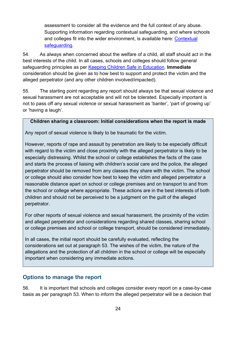assessment to consider all the evidence and the full context of any abuse. Supporting information regarding contextual safeguarding, and where schools and colleges fit into the wider environment, is available here: [Contextual](https://contextualsafeguarding.org.uk/about/what-is-contextual-safeguarding)  [safeguarding.](https://contextualsafeguarding.org.uk/about/what-is-contextual-safeguarding)

54. As always when concerned about the welfare of a child, all staff should act in the best interests of the child. In all cases, schools and colleges should follow general safeguarding principles as per [Keeping Children Safe in Education.](https://www.gov.uk/government/publications/keeping-children-safe-in-education--2) **Immediate** consideration should be given as to how best to support and protect the victim and the alleged perpetrator (and any other children involved/impacted).

55. The starting point regarding any report should always be that sexual violence and sexual harassment are not acceptable and will not be tolerated. Especially important is not to pass off any sexual violence or sexual harassment as 'banter', 'part of growing up' or 'having a laugh'.

#### **Children sharing a classroom: Initial considerations when the report is made**

Any report of sexual violence is likely to be traumatic for the victim.

However, reports of rape and assault by penetration are likely to be especially difficult with regard to the victim and close proximity with the alleged perpetrator is likely to be especially distressing. Whilst the school or college establishes the facts of the case and starts the process of liaising with children's social care and the police, the alleged perpetrator should be removed from any classes they share with the victim. The school or college should also consider how best to keep the victim and alleged perpetrator a reasonable distance apart on school or college premises and on transport to and from the school or college where appropriate. These actions are in the best interests of both children and should not be perceived to be a judgment on the guilt of the alleged perpetrator.

For other reports of sexual violence and sexual harassment, the proximity of the victim and alleged perpetrator and considerations regarding shared classes, sharing school or college premises and school or college transport, should be considered immediately.

In all cases, the initial report should be carefully evaluated, reflecting the considerations set out at paragraph 53. The wishes of the victim, the nature of the allegations and the protection of all children in the school or college will be especially important when considering any immediate actions.

#### **Options to manage the report**

56. It is important that schools and colleges consider every report on a case-by-case basis as per paragraph 53. When to inform the alleged perpetrator will be a decision that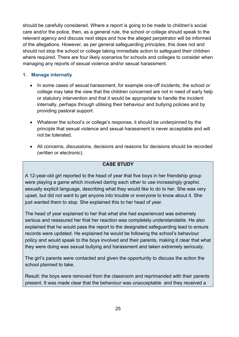should be carefully considered. Where a report is going to be made to children's social care and/or the police, then, as a general rule, the school or college should speak to the relevant agency and discuss next steps and how the alleged perpetrator will be informed of the allegations. However, as per general safeguarding principles, this does not and should not stop the school or college taking immediate action to safeguard their children where required. There are four likely scenarios for schools and colleges to consider when managing any reports of sexual violence and/or sexual harassment.

#### **1. Manage internally**

- In some cases of sexual harassment, for example one-off incidents, the school or college may take the view that the children concerned are not in need of early help or statutory intervention and that it would be appropriate to handle the incident internally, perhaps through utilising their behaviour and bullying policies and by providing pastoral support.
- Whatever the school's or college's response, it should be underpinned by the principle that sexual violence and sexual harassment is never acceptable and will not be tolerated.
- All concerns, discussions, decisions and reasons for decisions should be recorded (written or electronic).

#### **CASE STUDY**

A 12-year-old girl reported to the head of year that five boys in her friendship group were playing a game which involved daring each other to use increasingly graphic sexually explicit language, describing what they would like to do to her. She was very upset, but did not want to get anyone into trouble or everyone to know about it. She just wanted them to stop. She explained this to her head of year.

The head of year explained to her that what she had experienced was extremely serious and reassured her that her reaction was completely understandable. He also explained that he would pass the report to the designated safeguarding lead to ensure records were updated. He explained he would be following the school's behaviour policy and would speak to the boys involved and their parents, making it clear that what they were doing was sexual bullying and harassment and taken extremely seriously.

The girl's parents were contacted and given the opportunity to discuss the action the school planned to take.

Result: the boys were removed from the classroom and reprimanded with their parents present. It was made clear that the behaviour was unacceptable and they received a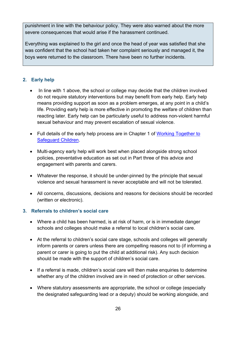punishment in line with the behaviour policy. They were also warned about the more severe consequences that would arise if the harassment continued.

Everything was explained to the girl and once the head of year was satisfied that she was confident that the school had taken her complaint seriously and managed it, the boys were returned to the classroom. There have been no further incidents.

#### **2. Early help**

- In line with 1 above, the school or college may decide that the children involved do not require statutory interventions but may benefit from early help. Early help means providing support as soon as a problem emerges, at any point in a child's life. Providing early help is more effective in promoting the welfare of children than reacting later. Early help can be particularly useful to address non-violent harmful sexual behaviour and may prevent escalation of sexual violence.
- Full details of the early help process are in Chapter 1 of Working Together to [Safeguard Children.](https://www.gov.uk/government/publications/working-together-to-safeguard-children--2)
- Multi-agency early help will work best when placed alongside strong school policies, preventative education as set out in Part three of this advice and engagement with parents and carers.
- Whatever the response, it should be under-pinned by the principle that sexual violence and sexual harassment is never acceptable and will not be tolerated.
- All concerns, discussions, decisions and reasons for decisions should be recorded (written or electronic).

#### **3. Referrals to children's social care**

- Where a child has been harmed, is at risk of harm, or is in immediate danger schools and colleges should make a referral to local children's social care.
- At the referral to children's social care stage, schools and colleges will generally inform parents or carers unless there are compelling reasons not to (if informing a parent or carer is going to put the child at additional risk). Any such decision should be made with the support of children's social care.
- If a referral is made, children's social care will then make enquiries to determine whether any of the children involved are in need of protection or other services.
- Where statutory assessments are appropriate, the school or college (especially the designated safeguarding lead or a deputy) should be working alongside, and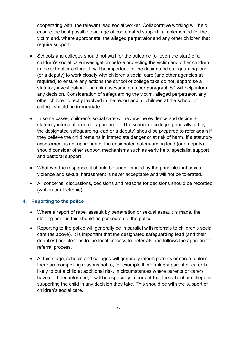cooperating with, the relevant lead social worker. Collaborative working will help ensure the best possible package of coordinated support is implemented for the victim and, where appropriate, the alleged perpetrator and any other children that require support.

- Schools and colleges should not wait for the outcome (or even the start) of a children's social care investigation before protecting the victim and other children in the school or college. It will be important for the designated safeguarding lead (or a deputy) to work closely with children's social care (and other agencies as required) to ensure any actions the school or college take do not jeopardise a statutory investigation. The risk assessment as per paragraph 50 will help inform any decision. Consideration of safeguarding the victim, alleged perpetrator, any other children directly involved in the report and all children at the school or college should be **immediate**.
- In some cases, children's social care will review the evidence and decide a statutory intervention is not appropriate. The school or college (generally led by the designated safeguarding lead or a deputy) should be prepared to refer again if they believe the child remains in immediate danger or at risk of harm. If a statutory assessment is not appropriate, the designated safeguarding lead (or a deputy) should consider other support mechanisms such as early help, specialist support and pastoral support.
- Whatever the response, it should be under-pinned by the principle that sexual violence and sexual harassment is never acceptable and will not be tolerated.
- All concerns, discussions, decisions and reasons for decisions should be recorded (written or electronic).

#### **4. Reporting to the police**

- Where a report of rape, assault by penetration or sexual assault is made, the starting point is this should be passed on to the police.
- Reporting to the police will generally be in parallel with referrals to children's social care (as above). It is important that the designated safeguarding lead (and their deputies) are clear as to the local process for referrals and follows the appropriate referral process.
- At this stage, schools and colleges will generally inform parents or carers unless there are compelling reasons not to, for example if informing a parent or carer is likely to put a child at additional risk. In circumstances where parents or carers have not been informed, it will be especially important that the school or college is supporting the child in any decision they take. This should be with the support of children's social care.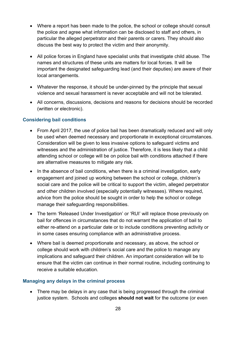- Where a report has been made to the police, the school or college should consult the police and agree what information can be disclosed to staff and others, in particular the alleged perpetrator and their parents or carers. They should also discuss the best way to protect the victim and their anonymity.
- All police forces in England have specialist units that investigate child abuse. The names and structures of these units are matters for local forces. It will be important the designated safeguarding lead (and their deputies) are aware of their local arrangements.
- Whatever the response, it should be under-pinned by the principle that sexual violence and sexual harassment is never acceptable and will not be tolerated.
- All concerns, discussions, decisions and reasons for decisions should be recorded (written or electronic).

#### **Considering bail conditions**

- From April 2017, the use of police bail has been dramatically reduced and will only be used when deemed necessary and proportionate in exceptional circumstances. Consideration will be given to less invasive options to safeguard victims and witnesses and the administration of justice. Therefore, it is less likely that a child attending school or college will be on police bail with conditions attached if there are alternative measures to mitigate any risk.
- In the absence of bail conditions, when there is a criminal investigation, early engagement and joined up working between the school or college, children's social care and the police will be critical to support the victim, alleged perpetrator and other children involved (especially potentially witnesses). Where required, advice from the police should be sought in order to help the school or college manage their safeguarding responsibilities.
- The term 'Released Under Investigation' or 'RUI' will replace those previously on bail for offences in circumstances that do not warrant the application of bail to either re-attend on a particular date or to include conditions preventing activity or in some cases ensuring compliance with an administrative process.
- Where bail is deemed proportionate and necessary, as above, the school or college should work with children's social care and the police to manage any implications and safeguard their children. An important consideration will be to ensure that the victim can continue in their normal routine, including continuing to receive a suitable education.

#### **Managing any delays in the criminal process**

• There may be delays in any case that is being progressed through the criminal justice system. Schools and colleges **should not wait** for the outcome (or even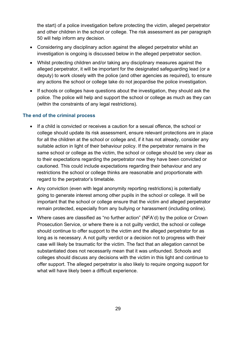the start) of a police investigation before protecting the victim, alleged perpetrator and other children in the school or college. The risk assessment as per paragraph 50 will help inform any decision.

- Considering any disciplinary action against the alleged perpetrator whilst an investigation is ongoing is discussed below in the alleged perpetrator section.
- Whilst protecting children and/or taking any disciplinary measures against the alleged perpetrator, it will be important for the designated safeguarding lead (or a deputy) to work closely with the police (and other agencies as required), to ensure any actions the school or college take do not jeopardise the police investigation.
- If schools or colleges have questions about the investigation, they should ask the police. The police will help and support the school or college as much as they can (within the constraints of any legal restrictions).

#### **The end of the criminal process**

- If a child is convicted or receives a caution for a sexual offence, the school or college should update its risk assessment, ensure relevant protections are in place for all the children at the school or college and, if it has not already, consider any suitable action in light of their behaviour policy. If the perpetrator remains in the same school or college as the victim, the school or college should be very clear as to their expectations regarding the perpetrator now they have been convicted or cautioned. This could include expectations regarding their behaviour and any restrictions the school or college thinks are reasonable and proportionate with regard to the perpetrator's timetable.
- Any conviction (even with legal anonymity reporting restrictions) is potentially going to generate interest among other pupils in the school or college. It will be important that the school or college ensure that the victim and alleged perpetrator remain protected, especially from any bullying or harassment (including online).
- Where cases are classified as "no further action" (NFA'd) by the police or Crown Prosecution Service, or where there is a not guilty verdict, the school or college should continue to offer support to the victim and the alleged perpetrator for as long as is necessary. A not guilty verdict or a decision not to progress with their case will likely be traumatic for the victim. The fact that an allegation cannot be substantiated does not necessarily mean that it was unfounded. Schools and colleges should discuss any decisions with the victim in this light and continue to offer support. The alleged perpetrator is also likely to require ongoing support for what will have likely been a difficult experience.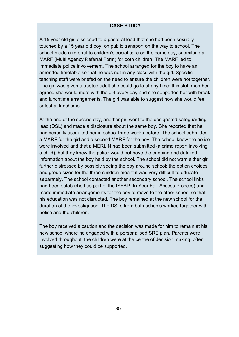#### **CASE STUDY**

A 15 year old girl disclosed to a pastoral lead that she had been sexually touched by a 15 year old boy, on public transport on the way to school. The school made a referral to children's social care on the same day, submitting a MARF (Multi Agency Referral Form) for both children. The MARF led to immediate police involvement. The school arranged for the boy to have an amended timetable so that he was not in any class with the girl. Specific teaching staff were briefed on the need to ensure the children were not together. The girl was given a trusted adult she could go to at any time: this staff member agreed she would meet with the girl every day and she supported her with break and lunchtime arrangements. The girl was able to suggest how she would feel safest at lunchtime.

At the end of the second day, another girl went to the designated safeguarding lead (DSL) and made a disclosure about the same boy. She reported that he had sexually assaulted her in school three weeks before. The school submitted a MARF for the girl and a second MARF for the boy. The school knew the police were involved and that a MERLIN had been submitted (a crime report involving a child), but they knew the police would not have the ongoing and detailed information about the boy held by the school. The school did not want either girl further distressed by possibly seeing the boy around school; the option choices and group sizes for the three children meant it was very difficult to educate separately. The school contacted another secondary school. The school links had been established as part of the IYFAP (In Year Fair Access Process) and made immediate arrangements for the boy to move to the other school so that his education was not disrupted. The boy remained at the new school for the duration of the investigation. The DSLs from both schools worked together with police and the children.

The boy received a caution and the decision was made for him to remain at his new school where he engaged with a personalised SRE plan. Parents were involved throughout; the children were at the centre of decision making, often suggesting how they could be supported.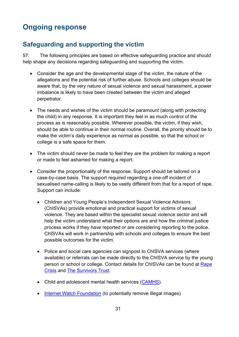# <span id="page-30-0"></span>**Ongoing response**

## <span id="page-30-1"></span>**Safeguarding and supporting the victim**

57. The following principles are based on effective safeguarding practice and should help shape any decisions regarding safeguarding and supporting the victim.

- Consider the age and the developmental stage of the victim, the nature of the allegations and the potential risk of further abuse. Schools and colleges should be aware that, by the very nature of sexual violence and sexual harassment, a power imbalance is likely to have been created between the victim and alleged perpetrator.
- The needs and wishes of the victim should be paramount (along with protecting the child) in any response. It is important they feel in as much control of the process as is reasonably possible. Wherever possible, the victim, if they wish, should be able to continue in their normal routine. Overall, the priority should be to make the victim's daily experience as normal as possible, so that the school or college is a safe space for them.
- The victim should never be made to feel they are the problem for making a report or made to feel ashamed for making a report.
- Consider the proportionality of the response. Support should be tailored on a case-by-case basis. The support required regarding a one-off incident of sexualised name-calling is likely to be vastly different from that for a report of rape. Support can include:
	- Children and Young People's Independent Sexual Violence Advisors (ChISVAs) provide emotional and practical support for victims of sexual violence. They are based within the specialist sexual violence sector and will help the victim understand what their options are and how the criminal justice process works if they have reported or are considering reporting to the police. ChISVAs will work in partnership with schools and colleges to ensure the best possible outcomes for the victim.
	- Police and social care agencies can signpost to ChISVA services (where available) or referrals can be made directly to the ChISVA service by the young person or school or college. Contact details for ChISVAs can be found at [Rape](https://rapecrisis.org.uk/)  [Crisis](https://rapecrisis.org.uk/) and [The Survivors Trust.](http://thesurvivorstrust.org/)
	- Child and adolescent mental health services [\(CAMHS\)](https://www.nhs.uk/NHSEngland/AboutNHSservices/mental-health-services-explained/Pages/about-childrens-mental-health-services.aspx).
	- [Internet Watch Foundation](https://www.iwf.org.uk/) (to potentially remove illegal images)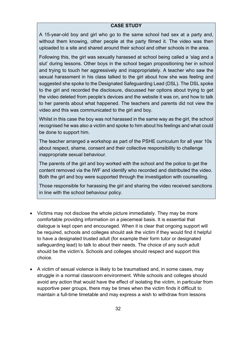#### **CASE STUDY**

A 15-year-old boy and girl who go to the same school had sex at a party and, without them knowing, other people at the party filmed it. The video was then uploaded to a site and shared around their school and other schools in the area.

Following this, the girl was sexually harassed at school being called a 'slag and a slut' during lessons. Other boys in the school began propositioning her in school and trying to touch her aggressively and inappropriately. A teacher who saw the sexual harassment in his class talked to the girl about how she was feeling and suggested she spoke to the Designated Safeguarding Lead (DSL). The DSL spoke to the girl and recorded the disclosure, discussed her options about trying to get the video deleted from people's devices and the website it was on, and how to talk to her parents about what happened. The teachers and parents did not view the video and this was communicated to the girl and boy.

Whilst in this case the boy was not harassed in the same way as the girl, the school recognised he was also a victim and spoke to him about his feelings and what could be done to support him.

The teacher arranged a workshop as part of the PSHE curriculum for all year 10s about respect, shame, consent and their collective responsibility to challenge inappropriate sexual behaviour.

The parents of the girl and boy worked with the school and the police to get the content removed via the IWF and identify who recorded and distributed the video. Both the girl and boy were supported through the investigation with counselling.

Those responsible for harassing the girl and sharing the video received sanctions in line with the school behaviour policy.

- Victims may not disclose the whole picture immediately. They may be more comfortable providing information on a piecemeal basis. It is essential that dialogue is kept open and encouraged. When it is clear that ongoing support will be required, schools and colleges should ask the victim if they would find it helpful to have a designated trusted adult (for example their form tutor or designated safeguarding lead) to talk to about their needs. The choice of any such adult should be the victim's. Schools and colleges should respect and support this choice.
- A victim of sexual violence is likely to be traumatised and, in some cases, may struggle in a normal classroom environment. While schools and colleges should avoid any action that would have the effect of isolating the victim, in particular from supportive peer groups, there may be times when the victim finds it difficult to maintain a full-time timetable and may express a wish to withdraw from lessons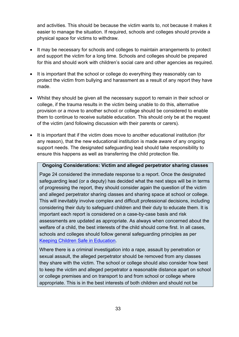and activities. This should be because the victim wants to, not because it makes it easier to manage the situation. If required, schools and colleges should provide a physical space for victims to withdraw.

- It may be necessary for schools and colleges to maintain arrangements to protect and support the victim for a long time. Schools and colleges should be prepared for this and should work with children's social care and other agencies as required.
- It is important that the school or college do everything they reasonably can to protect the victim from bullying and harassment as a result of any report they have made.
- Whilst they should be given all the necessary support to remain in their school or college, if the trauma results in the victim being unable to do this, alternative provision or a move to another school or college should be considered to enable them to continue to receive suitable education. This should only be at the request of the victim (and following discussion with their parents or carers).
- It is important that if the victim does move to another educational institution (for any reason), that the new educational institution is made aware of any ongoing support needs. The designated safeguarding lead should take responsibility to ensure this happens as well as transferring the child protection file.

#### **Ongoing Considerations: Victim and alleged perpetrator sharing classes**

Page 24 considered the immediate response to a report. Once the designated safeguarding lead (or a deputy) has decided what the next steps will be in terms of progressing the report, they should consider again the question of the victim and alleged perpetrator sharing classes and sharing space at school or college. This will inevitably involve complex and difficult professional decisions, including considering their duty to safeguard children and their duty to educate them. It is important each report is considered on a case-by-case basis and risk assessments are updated as appropriate. As always when concerned about the welfare of a child, the best interests of the child should come first. In all cases, schools and colleges should follow general safeguarding principles as per [Keeping Children Safe in Education.](https://www.gov.uk/government/publications/keeping-children-safe-in-education--2)

Where there is a criminal investigation into a rape, assault by penetration or sexual assault, the alleged perpetrator should be removed from any classes they share with the victim. The school or college should also consider how best to keep the victim and alleged perpetrator a reasonable distance apart on school or college premises and on transport to and from school or college where appropriate. This is in the best interests of both children and should not be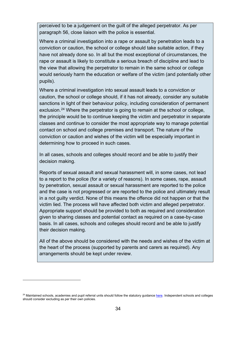perceived to be a judgement on the guilt of the alleged perpetrator. As per paragraph 56, close liaison with the police is essential.

Where a criminal investigation into a rape or assault by penetration leads to a conviction or caution, the school or college should take suitable action, if they have not already done so. In all but the most exceptional of circumstances, the rape or assault is likely to constitute a serious breach of discipline and lead to the view that allowing the perpetrator to remain in the same school or college would seriously harm the education or welfare of the victim (and potentially other pupils).

Where a criminal investigation into sexual assault leads to a conviction or caution, the school or college should, if it has not already, consider any suitable sanctions in light of their behaviour policy, including consideration of permanent exclusion. [24](#page-33-0) Where the perpetrator is going to remain at the school or college, the principle would be to continue keeping the victim and perpetrator in separate classes and continue to consider the most appropriate way to manage potential contact on school and college premises and transport. The nature of the conviction or caution and wishes of the victim will be especially important in determining how to proceed in such cases.

In all cases, schools and colleges should record and be able to justify their decision making.

Reports of sexual assault and sexual harassment will, in some cases, not lead to a report to the police (for a variety of reasons). In some cases, rape, assault by penetration, sexual assault or sexual harassment are reported to the police and the case is not progressed or are reported to the police and ultimately result in a not guilty verdict. None of this means the offence did not happen or that the victim lied. The process will have affected both victim and alleged perpetrator. Appropriate support should be provided to both as required and consideration given to sharing classes and potential contact as required on a case-by-case basis. In all cases, schools and colleges should record and be able to justify their decision making.

All of the above should be considered with the needs and wishes of the victim at the heart of the process (supported by parents and carers as required). Any arrangements should be kept under review.

 $\overline{a}$ 

<span id="page-33-0"></span><sup>&</sup>lt;sup>24</sup> Maintained schools, academies and pupil referral units should follow the statutory guidance [here.](https://www.gov.uk/government/publications/school-exclusion) Independent schools and colleges should consider excluding as per their own policies.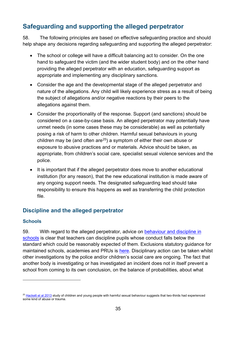## <span id="page-34-0"></span>**Safeguarding and supporting the alleged perpetrator**

58. The following principles are based on effective safeguarding practice and should help shape any decisions regarding safeguarding and supporting the alleged perpetrator:

- The school or college will have a difficult balancing act to consider. On the one hand to safeguard the victim (and the wider student body) and on the other hand providing the alleged perpetrator with an education, safeguarding support as appropriate and implementing any disciplinary sanctions.
- Consider the age and the developmental stage of the alleged perpetrator and nature of the allegations. Any child will likely experience stress as a result of being the subject of allegations and/or negative reactions by their peers to the allegations against them.
- Consider the proportionality of the response. Support (and sanctions) should be considered on a case-by-case basis. An alleged perpetrator may potentially have unmet needs (in some cases these may be considerable) as well as potentially posing a risk of harm to other children. Harmful sexual behaviours in young children may be (and often are<sup>25</sup>) a symptom of either their own abuse or exposure to abusive practices and or materials. Advice should be taken, as appropriate, from children's social care, specialist sexual violence services and the police.
- It is important that if the alleged perpetrator does move to another educational institution (for any reason), that the new educational institution is made aware of any ongoing support needs. The designated safeguarding lead should take responsibility to ensure this happens as well as transferring the child protection file.

#### **Discipline and the alleged perpetrator**

#### **Schools**

 $\overline{a}$ 

59. With regard to the alleged perpetrator, advice on [behaviour and discipline in](https://www.gov.uk/government/publications/behaviour-and-discipline-in-schools)  [schools](https://www.gov.uk/government/publications/behaviour-and-discipline-in-schools) is clear that teachers can discipline pupils whose conduct falls below the standard which could be reasonably expected of them. Exclusions statutory guidance for maintained schools, academies and PRUs is [here.](https://www.gov.uk/government/publications/school-exclusion) Disciplinary action can be taken whilst other investigations by the police and/or children's social care are ongoing. The fact that another body is investigating or has investigated an incident does not in itself prevent a school from coming to its own conclusion, on the balance of probabilities, about what

<span id="page-34-1"></span><sup>&</sup>lt;sup>25</sup> [Hackett et al 2013](http://onlinelibrary.wiley.com/doi/10.1002/car.2246/abstract;jsessionid=C96A10F43D4BF60A54EC7FEF2AA0B895.f03t01) study of children and young people with harmful sexual behaviour suggests that two-thirds had experienced some kind of abuse or trauma.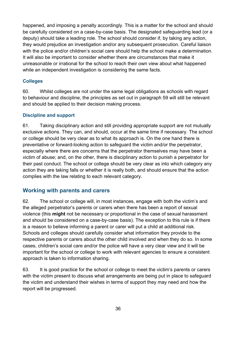happened, and imposing a penalty accordingly. This is a matter for the school and should be carefully considered on a case-by-case basis. The designated safeguarding lead (or a deputy) should take a leading role. The school should consider if, by taking any action, they would prejudice an investigation and/or any subsequent prosecution. Careful liaison with the police and/or children's social care should help the school make a determination. It will also be important to consider whether there are circumstances that make it unreasonable or irrational for the school to reach their own view about what happened while an independent investigation is considering the same facts.

#### **Colleges**

60. Whilst colleges are not under the same legal obligations as schools with regard to behaviour and discipline, the principles as set out in paragraph 59 will still be relevant and should be applied to their decision making process.

#### **Discipline and support**

61. Taking disciplinary action and still providing appropriate support are not mutually exclusive actions. They can, and should, occur at the same time if necessary. The school or college should be very clear as to what its approach is. On the one hand there is preventative or forward-looking action to safeguard the victim and/or the perpetrator, especially where there are concerns that the perpetrator themselves may have been a victim of abuse; and, on the other, there is disciplinary action to punish a perpetrator for their past conduct. The school or college should be very clear as into which category any action they are taking falls or whether it is really both, and should ensure that the action complies with the law relating to each relevant category.

#### **Working with parents and carers**

62. The school or college will, in most instances, engage with both the victim's and the alleged perpetrator's parents or carers when there has been a report of sexual violence (this **might** not be necessary or proportional in the case of sexual harassment and should be considered on a case-by-case basis). The exception to this rule is if there is a reason to believe informing a parent or carer will put a child at additional risk. Schools and colleges should carefully consider what information they provide to the respective parents or carers about the other child involved and when they do so. In some cases, children's social care and/or the police will have a very clear view and it will be important for the school or college to work with relevant agencies to ensure a consistent approach is taken to information sharing.

63. It is good practice for the school or college to meet the victim's parents or carers with the victim present to discuss what arrangements are being put in place to safeguard the victim and understand their wishes in terms of support they may need and how the report will be progressed.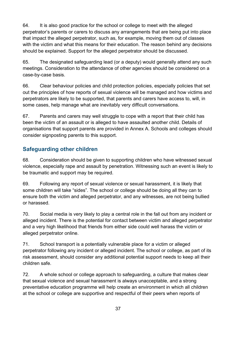64. It is also good practice for the school or college to meet with the alleged perpetrator's parents or carers to discuss any arrangements that are being put into place that impact the alleged perpetrator, such as, for example, moving them out of classes with the victim and what this means for their education. The reason behind any decisions should be explained. Support for the alleged perpetrator should be discussed.

65. The designated safeguarding lead (or a deputy) would generally attend any such meetings. Consideration to the attendance of other agencies should be considered on a case-by-case basis.

66. Clear behaviour policies and child protection policies, especially policies that set out the principles of how reports of sexual violence will be managed and how victims and perpetrators are likely to be supported, that parents and carers have access to, will, in some cases, help manage what are inevitably very difficult conversations.

67. Parents and carers may well struggle to cope with a report that their child has been the victim of an assault or is alleged to have assaulted another child. Details of organisations that support parents are provided in Annex A. Schools and colleges should consider signposting parents to this support.

## **Safeguarding other children**

68. Consideration should be given to supporting children who have witnessed sexual violence, especially rape and assault by penetration. Witnessing such an event is likely to be traumatic and support may be required.

69. Following any report of sexual violence or sexual harassment, it is likely that some children will take "sides". The school or college should be doing all they can to ensure both the victim and alleged perpetrator, and any witnesses, are not being bullied or harassed.

70. Social media is very likely to play a central role in the fall out from any incident or alleged incident. There is the potential for contact between victim and alleged perpetrator and a very high likelihood that friends from either side could well harass the victim or alleged perpetrator online.

71. School transport is a potentially vulnerable place for a victim or alleged perpetrator following any incident or alleged incident. The school or college, as part of its risk assessment, should consider any additional potential support needs to keep all their children safe.

72. A whole school or college approach to safeguarding, a culture that makes clear that sexual violence and sexual harassment is always unacceptable, and a strong preventative education programme will help create an environment in which all children at the school or college are supportive and respectful of their peers when reports of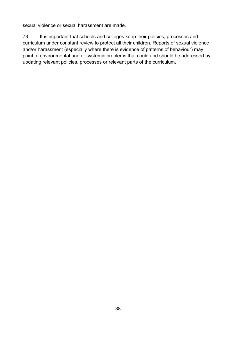sexual violence or sexual harassment are made.

73. It is important that schools and colleges keep their policies, processes and curriculum under constant review to protect all their children. Reports of sexual violence and/or harassment (especially where there is evidence of patterns of behaviour) may point to environmental and or systemic problems that could and should be addressed by updating relevant policies, processes or relevant parts of the curriculum.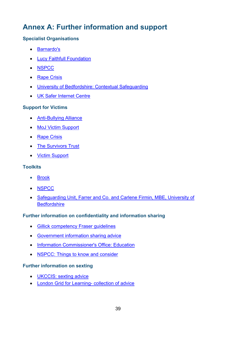# <span id="page-38-0"></span>**Annex A: Further information and support**

#### **Specialist Organisations**

- [Barnardo's](https://www.barnardos.org.uk/?gclid=EAIaIQobChMIspfntMWB2AIVCrHtCh38DwkAEAAYASAAEgJPt_D_BwE)
- [Lucy Faithfull Foundation](https://www.lucyfaithfull.org.uk/)
- [NSPCC](https://www.nspcc.org.uk/what-you-can-do/make-a-donation/?source=ppc-brand&utm_source=google&utm_medium=cpc&gclid=EAIaIQobChMI55iS6uap1wIVi7UYCh1Y4wVDEAAYASAAEgIPUfD_BwE&gclsrc=aw.ds)
- [Rape Crisis](https://rapecrisis.org.uk/)
- [University of Bedfordshire: Contextual Safeguarding](https://contextualsafeguarding.org.uk/about/what-is-contextual-safeguarding)
- [UK Safer Internet Centre](https://www.saferinternet.org.uk/)

#### **Support for Victims**

- [Anti-Bullying Alliance](http://www.anti-bullyingalliance.org.uk/)
- [MoJ Victim Support](http://www.rapecentre.org.uk/userfiles/Publications/adult-victims-code-leaflet.pdf)
- [Rape Crisis](https://rapecrisis.org.uk/)
- [The Survivors Trust](http://thesurvivorstrust.org/isva/)
- [Victim Support](https://www.victimsupport.org.uk/)

#### **Toolkits**

- [Brook](https://www.brook.org.uk/our-work/category/sexual-behaviours-traffic-light-tool)
- [NSPCC](https://safeguardingtool.nspcc.org.uk/)
- [Safeguarding Unit, Farrer and Co. and Carlene Firmin,](https://www.farrer.co.uk/News/Briefings/PEER-ON-PEER-ABUSE-TOOLKIT/) MBE, University of **Bedfordshire**

#### **Further information on confidentiality and information sharing**

- [Gillick competency Fraser guidelines](https://www.nspcc.org.uk/preventing-abuse/child-protection-system/legal-definition-child-rights-law/gillick-competency-fraser-guidelines/)
- [Government information sharing advice](https://www.gov.uk/government/publications/safeguarding-practitioners-information-sharing-advice)
- [Information Commissioner's Office: Education](https://ico.org.uk/for-organisations/education/)
- [NSPCC: Things to know and consider](https://www.nspcc.org.uk/globalassets/documents/information-service/information-sharing-confidentiality-practitioners.pdf)

#### **Further information on sexting**

- [UKCCIS: sexting advice](https://www.gov.uk/government/groups/uk-council-for-child-internet-safety-ukccis)
- [London Grid for Learning-](https://www.lgfl.net/online-safety/resource-centre?s=1) collection of advice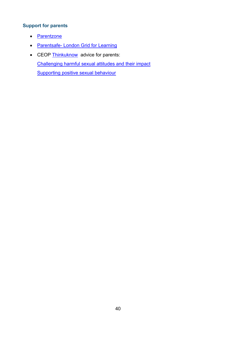#### **Support for parents**

- [Parentzone](https://parentzone.org.uk/)
- Parentsafe- [London Grid for Learning](http://parentsafe.lgfl.net/)
- CEOP [Thinkuknow](https://www.thinkuknow.co.uk/parents/) advice for parents: Challenging harmful sexual [attitudes and their impact](https://www.thinkuknow.co.uk/parents/articles/Challenging-harmful-sexual-attitudes/) [Supporting](https://www.thinkuknow.co.uk/parents/articles/Supporting-positive-sexual-behaviour/) positive sexual behaviour